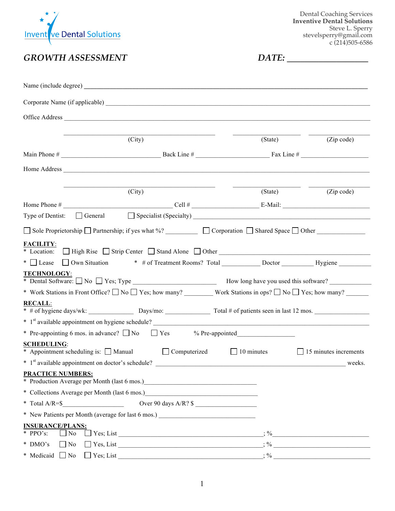

Dental Coaching Services **Inventive Dental Solutions** Steve L. Sperry stevelsperry@gmail.com c (214)505-6586

*GROWTH ASSESSMENT DATE: \_\_\_\_\_\_\_\_\_\_\_\_\_\_\_\_\_\_*

|                                                                                                                                                                                                                                                                                                                                                                                                                                                      | (City) |                                 | (State)           | (Zip code)                   |
|------------------------------------------------------------------------------------------------------------------------------------------------------------------------------------------------------------------------------------------------------------------------------------------------------------------------------------------------------------------------------------------------------------------------------------------------------|--------|---------------------------------|-------------------|------------------------------|
|                                                                                                                                                                                                                                                                                                                                                                                                                                                      |        |                                 |                   |                              |
|                                                                                                                                                                                                                                                                                                                                                                                                                                                      |        |                                 |                   |                              |
| Home Address <u>and the same of the same of the same of the same of the same of the same of the same of the same of the same of the same of the same of the same of the same of the same of the same of the same of the same of </u>                                                                                                                                                                                                                 |        |                                 |                   |                              |
|                                                                                                                                                                                                                                                                                                                                                                                                                                                      | (City) |                                 | (State)           | (Zip code)                   |
|                                                                                                                                                                                                                                                                                                                                                                                                                                                      |        |                                 |                   |                              |
| Type of Dentist: $\Box$ General $\Box$ Specialist (Specialty) $\Box$                                                                                                                                                                                                                                                                                                                                                                                 |        |                                 |                   |                              |
| $\Box$ Sole Proprietorship $\Box$ Partnership; if yes what %? $\Box$ $\Box$ Corporation $\Box$ Shared Space $\Box$ Other $\Box$                                                                                                                                                                                                                                                                                                                      |        |                                 |                   |                              |
| * Location: High Rise Strip Center Stand Alone Other Communication: High Rise Strip Center Stand Alone Other<br><b>TECHNOLOGY:</b><br>* Work Stations in Front Office? $\Box$ No $\Box$ Yes; how many? Work Stations in ops? $\Box$ No $\Box$ Yes; how many?<br><b>RECALL:</b><br># of hygiene days/wk: Days/mo: Total # of patients seen in last 12 mos.<br>$*$ 1 <sup>st</sup> available appointment on hygiene schedule? $\overline{\phantom{a}}$ |        |                                 |                   |                              |
| * Pre-appointing 6 mos. in advance? $\Box$ No $\Box$ Yes % Pre-appointed                                                                                                                                                                                                                                                                                                                                                                             |        |                                 |                   |                              |
| <b>SCHEDULING:</b><br>* Appointment scheduling is: Manual Computerized                                                                                                                                                                                                                                                                                                                                                                               |        |                                 | $\Box$ 10 minutes | $\Box$ 15 minutes increments |
| <b>PRACTICE NUMBERS:</b>                                                                                                                                                                                                                                                                                                                                                                                                                             |        |                                 |                   |                              |
| * Production Average per Month (last 6 mos.) ___________________________________                                                                                                                                                                                                                                                                                                                                                                     |        |                                 |                   |                              |
| * Collections Average per Month (last 6 mos.)<br><u>Example 2014</u>                                                                                                                                                                                                                                                                                                                                                                                 |        |                                 |                   |                              |
|                                                                                                                                                                                                                                                                                                                                                                                                                                                      |        | Over 90 days A/R? $\frac{1}{2}$ |                   |                              |
| * New Patients per Month (average for last 6 mos.) _____________________________                                                                                                                                                                                                                                                                                                                                                                     |        |                                 |                   |                              |
| <b>INSURANCE/PLANS:</b><br>$*$ PPO's:<br>$\blacksquare$ No                                                                                                                                                                                                                                                                                                                                                                                           |        |                                 |                   |                              |
| * DMO's<br>$\Box$ No                                                                                                                                                                                                                                                                                                                                                                                                                                 |        |                                 |                   |                              |
| * Medicaid $\Box$ No $\Box$ Yes; List                                                                                                                                                                                                                                                                                                                                                                                                                |        |                                 | $\frac{1}{2}$ %   |                              |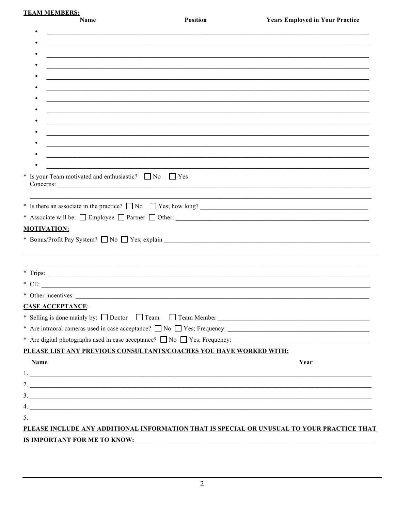**TEAM MEMBERS:** 

Name

| ,我们也不能在这里的时候,我们也不能在这里的时候,我们也不能会在这里的时候,我们也不能会在这里的时候,我们也不能会在这里的时候,我们也不能会在这里的时候,我们也不<br>Name<br>Year                                                                                                                                                                                                                                                                                     |  |
|---------------------------------------------------------------------------------------------------------------------------------------------------------------------------------------------------------------------------------------------------------------------------------------------------------------------------------------------------------------------------------------|--|
|                                                                                                                                                                                                                                                                                                                                                                                       |  |
|                                                                                                                                                                                                                                                                                                                                                                                       |  |
|                                                                                                                                                                                                                                                                                                                                                                                       |  |
|                                                                                                                                                                                                                                                                                                                                                                                       |  |
|                                                                                                                                                                                                                                                                                                                                                                                       |  |
|                                                                                                                                                                                                                                                                                                                                                                                       |  |
|                                                                                                                                                                                                                                                                                                                                                                                       |  |
|                                                                                                                                                                                                                                                                                                                                                                                       |  |
|                                                                                                                                                                                                                                                                                                                                                                                       |  |
|                                                                                                                                                                                                                                                                                                                                                                                       |  |
|                                                                                                                                                                                                                                                                                                                                                                                       |  |
| * Is your Team motivated and enthusiastic? $\Box$ No $\Box$ Yes                                                                                                                                                                                                                                                                                                                       |  |
| * Is there an associate in the practice? $\Box$ No $\Box$ Yes; how long?                                                                                                                                                                                                                                                                                                              |  |
| <b>MOTIVATION:</b>                                                                                                                                                                                                                                                                                                                                                                    |  |
|                                                                                                                                                                                                                                                                                                                                                                                       |  |
|                                                                                                                                                                                                                                                                                                                                                                                       |  |
| $*$ Trips:<br>* Other incentives:<br><b>CASE ACCEPTANCE:</b><br>* Are digital photographs used in case acceptance? $\Box$ No $\Box$ Yes; Frequency:<br>PLEASE LIST ANY PREVIOUS CONSULTANTS/COACHES YOU HAVE WORKED WITH:<br>1.<br>$\frac{3}{2}$<br>$4. \_$<br>$\overline{\phantom{a}}$<br>PLEASE INCLUDE ANY ADDITIONAL INFORMATION THAT IS SPECIAL OR UNUSUAL TO YOUR PRACTICE THAT |  |
|                                                                                                                                                                                                                                                                                                                                                                                       |  |
|                                                                                                                                                                                                                                                                                                                                                                                       |  |
|                                                                                                                                                                                                                                                                                                                                                                                       |  |
|                                                                                                                                                                                                                                                                                                                                                                                       |  |
|                                                                                                                                                                                                                                                                                                                                                                                       |  |
|                                                                                                                                                                                                                                                                                                                                                                                       |  |
|                                                                                                                                                                                                                                                                                                                                                                                       |  |
|                                                                                                                                                                                                                                                                                                                                                                                       |  |
|                                                                                                                                                                                                                                                                                                                                                                                       |  |
|                                                                                                                                                                                                                                                                                                                                                                                       |  |
|                                                                                                                                                                                                                                                                                                                                                                                       |  |
|                                                                                                                                                                                                                                                                                                                                                                                       |  |
|                                                                                                                                                                                                                                                                                                                                                                                       |  |
|                                                                                                                                                                                                                                                                                                                                                                                       |  |
|                                                                                                                                                                                                                                                                                                                                                                                       |  |
|                                                                                                                                                                                                                                                                                                                                                                                       |  |
|                                                                                                                                                                                                                                                                                                                                                                                       |  |